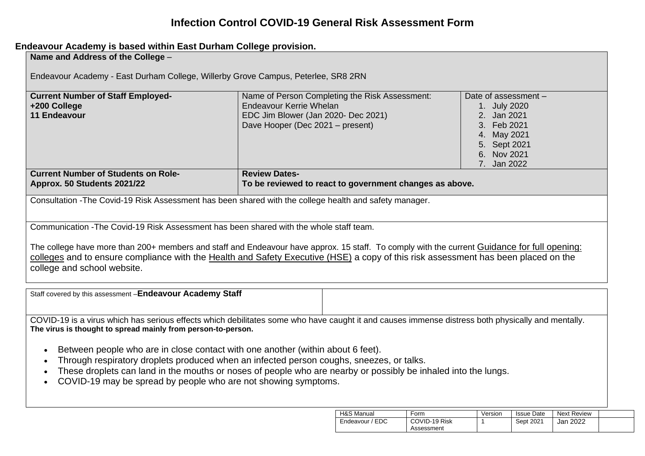## **Infection Control COVID-19 General Risk Assessment Form**

## **Endeavour Academy is based within East Durham College provision.**

| Name and Address of the College -                                                                       |                                                                                                                                              |                      |  |  |  |  |  |  |
|---------------------------------------------------------------------------------------------------------|----------------------------------------------------------------------------------------------------------------------------------------------|----------------------|--|--|--|--|--|--|
|                                                                                                         |                                                                                                                                              |                      |  |  |  |  |  |  |
| Endeavour Academy - East Durham College, Willerby Grove Campus, Peterlee, SR8 2RN                       |                                                                                                                                              |                      |  |  |  |  |  |  |
|                                                                                                         |                                                                                                                                              |                      |  |  |  |  |  |  |
| <b>Current Number of Staff Employed-</b>                                                                | Name of Person Completing the Risk Assessment:                                                                                               | Date of assessment - |  |  |  |  |  |  |
| +200 College                                                                                            | Endeavour Kerrie Whelan                                                                                                                      | 1. July 2020         |  |  |  |  |  |  |
| <b>11 Endeavour</b>                                                                                     | EDC Jim Blower (Jan 2020- Dec 2021)                                                                                                          | 2. Jan 2021          |  |  |  |  |  |  |
|                                                                                                         | Dave Hooper (Dec 2021 – present)                                                                                                             | 3. Feb 2021          |  |  |  |  |  |  |
|                                                                                                         |                                                                                                                                              | 4. May 2021          |  |  |  |  |  |  |
|                                                                                                         |                                                                                                                                              | 5. Sept 2021         |  |  |  |  |  |  |
|                                                                                                         |                                                                                                                                              | 6. Nov 2021          |  |  |  |  |  |  |
|                                                                                                         |                                                                                                                                              | 7. Jan 2022          |  |  |  |  |  |  |
| <b>Current Number of Students on Role-</b>                                                              | <b>Review Dates-</b>                                                                                                                         |                      |  |  |  |  |  |  |
| Approx. 50 Students 2021/22                                                                             | To be reviewed to react to government changes as above.                                                                                      |                      |  |  |  |  |  |  |
|                                                                                                         |                                                                                                                                              |                      |  |  |  |  |  |  |
| Consultation - The Covid-19 Risk Assessment has been shared with the college health and safety manager. |                                                                                                                                              |                      |  |  |  |  |  |  |
|                                                                                                         |                                                                                                                                              |                      |  |  |  |  |  |  |
|                                                                                                         |                                                                                                                                              |                      |  |  |  |  |  |  |
| Communication - The Covid-19 Risk Assessment has been shared with the whole staff team.                 |                                                                                                                                              |                      |  |  |  |  |  |  |
|                                                                                                         |                                                                                                                                              |                      |  |  |  |  |  |  |
|                                                                                                         | The college have more than 200+ members and staff and Endeavour have approx. 15 staff. To comply with the current Guidance for full opening: |                      |  |  |  |  |  |  |
|                                                                                                         | colleges and to ensure compliance with the Health and Safety Executive (HSE) a copy of this risk assessment has been placed on the           |                      |  |  |  |  |  |  |
| college and school website.                                                                             |                                                                                                                                              |                      |  |  |  |  |  |  |
|                                                                                                         |                                                                                                                                              |                      |  |  |  |  |  |  |
|                                                                                                         |                                                                                                                                              |                      |  |  |  |  |  |  |

| Staff covered by this assessment -Endeavour Academy Staff                                                                                         |  |  |  |  |  |  |  |
|---------------------------------------------------------------------------------------------------------------------------------------------------|--|--|--|--|--|--|--|
|                                                                                                                                                   |  |  |  |  |  |  |  |
| COVID-19 is a virus which has serious effects which debilitates some who have caught it and causes immense distress both physically and mentally. |  |  |  |  |  |  |  |
| The virus is thought to spread mainly from person-to-person.                                                                                      |  |  |  |  |  |  |  |

- Between people who are in close contact with one another (within about 6 feet).
- Through respiratory droplets produced when an infected person coughs, sneezes, or talks.
- These droplets can land in the mouths or noses of people who are nearby or possibly be inhaled into the lungs.
- COVID-19 may be spread by people who are not showing symptoms.

| H&S Manual      | Form                        | Version | <b>Issue Date</b> | Next Review |  |
|-----------------|-----------------------------|---------|-------------------|-------------|--|
| Endeavour / EDC | COVID-19 Risk<br>Assessment |         | Sept 2021         | Jan 2022    |  |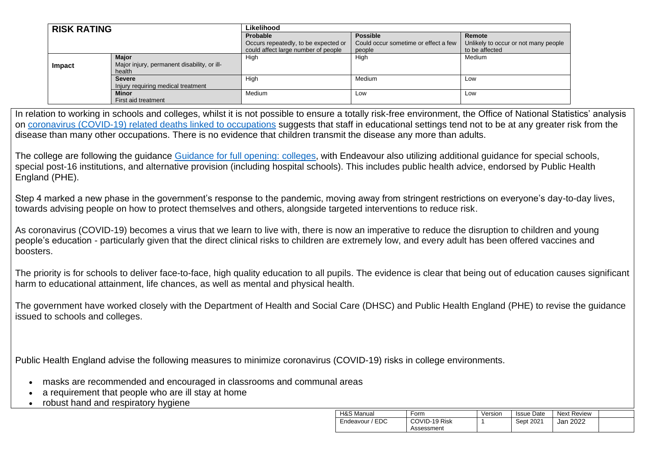| <b>RISK RATING</b> |                                             | Likelihood                           |                                      |                                      |  |  |
|--------------------|---------------------------------------------|--------------------------------------|--------------------------------------|--------------------------------------|--|--|
|                    |                                             | Probable                             | <b>Possible</b>                      | Remote                               |  |  |
|                    |                                             | Occurs repeatedly, to be expected or | Could occur sometime or effect a few | Unlikely to occur or not many people |  |  |
|                    |                                             | could affect large number of people  | people                               | to be affected                       |  |  |
|                    | <b>Major</b>                                | High                                 | High                                 | Medium                               |  |  |
| <b>Impact</b>      | Major injury, permanent disability, or ill- |                                      |                                      |                                      |  |  |
|                    | health                                      |                                      |                                      |                                      |  |  |
|                    | <b>Severe</b>                               | High                                 | Medium                               | Low                                  |  |  |
|                    | Injury requiring medical treatment          |                                      |                                      |                                      |  |  |
|                    | <b>Minor</b>                                | Medium                               | LOW                                  | Low                                  |  |  |
|                    | First aid treatment                         |                                      |                                      |                                      |  |  |

In relation to working in schools and colleges, whilst it is not possible to ensure a totally risk-free environment, the Office of National Statistics' analysis on [coronavirus \(COVID-19\) related deaths linked to occupations](https://www.ons.gov.uk/peoplepopulationandcommunity/healthandsocialcare/causesofdeath/bulletins/coronaviruscovid19relateddeathsbyoccupationenglandandwales/deathsregistereduptoandincluding20april2020) suggests that staff in educational settings tend not to be at any greater risk from the disease than many other occupations. There is no evidence that children transmit the disease any more than adults.

The college are following the guidance [Guidance for full opening: colleges,](https://www.gov.uk/government/publications/actions-for-schools-during-the-coronavirus-outbreak/guidance-for-full-opening-schools) with Endeavour also utilizing additional guidance for special schools, special post-16 institutions, and alternative provision (including hospital schools). This includes public health advice, endorsed by Public Health England (PHE).

Step 4 marked a new phase in the government's response to the pandemic, moving away from stringent restrictions on everyone's day-to-day lives, towards advising people on how to protect themselves and others, alongside targeted interventions to reduce risk.

As coronavirus (COVID-19) becomes a virus that we learn to live with, there is now an imperative to reduce the disruption to children and young people's education - particularly given that the direct clinical risks to children are extremely low, and every adult has been offered vaccines and boosters.

The priority is for schools to deliver face-to-face, high quality education to all pupils. The evidence is clear that being out of education causes significant harm to educational attainment, life chances, as well as mental and physical health.

The government have worked closely with the Department of Health and Social Care (DHSC) and Public Health England (PHE) to revise the guidance issued to schools and colleges.

Public Health England advise the following measures to minimize coronavirus (COVID-19) risks in college environments.

- masks are recommended and encouraged in classrooms and communal areas
- a requirement that people who are ill stay at home
- robust hand and respiratory hygiene

| <b>H&amp;S Manual</b> | ⊦orm                        | Version | <b>Issue Date</b> | Next Review |  |
|-----------------------|-----------------------------|---------|-------------------|-------------|--|
| EDC<br>Endeavour      | COVID-19 Risk<br>Assessment |         | Sept 2021         | Jan 2022    |  |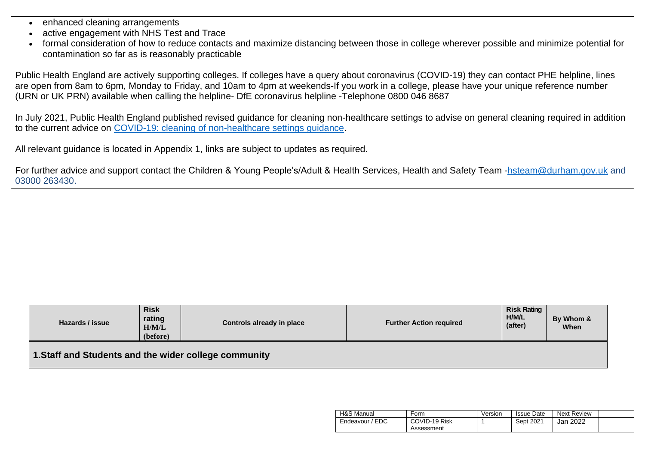- enhanced cleaning arrangements
- active engagement with NHS Test and Trace
- formal consideration of how to reduce contacts and maximize distancing between those in college wherever possible and minimize potential for contamination so far as is reasonably practicable

Public Health England are actively supporting colleges. If colleges have a query about coronavirus (COVID-19) they can contact PHE helpline, lines are open from 8am to 6pm, Monday to Friday, and 10am to 4pm at weekends-If you work in a college, please have your unique reference number (URN or UK PRN) available when calling the helpline- DfE coronavirus helpline -Telephone 0800 046 8687

In July 2021, Public Health England published revised guidance for cleaning non-healthcare settings to advise on general cleaning required in addition to the current advice on [COVID-19: cleaning of non-healthcare settings guidance.](https://www.gov.uk/government/publications/covid-19-decontamination-in-non-healthcare-settings)

All relevant guidance is located in Appendix 1, links are subject to updates as required.

For further advice and support contact the Children & Young People's/Adult & Health Services, Health and Safety Team [-hsteam@durham.gov.uk](mailto:hsteam@durham.gov.uk) and 03000 263430.

| Hazards / issue                                       | <b>Risk</b><br>rating<br>H/M/L<br>(before) | Controls already in place | <b>Further Action required</b> | <b>Risk Rating</b><br>H/M/L<br>(after) | By Whom &<br>When |  |  |  |
|-------------------------------------------------------|--------------------------------------------|---------------------------|--------------------------------|----------------------------------------|-------------------|--|--|--|
| 1. Staff and Students and the wider college community |                                            |                           |                                |                                        |                   |  |  |  |

| H&S Manual      | Form          | Version | <b>Issue Date</b> | <b>Next Review</b> |  |
|-----------------|---------------|---------|-------------------|--------------------|--|
| Endeavour / EDC | COVID-19 Risk |         | Sept 2021         | 2022<br>Jan        |  |
|                 | Assessment    |         |                   |                    |  |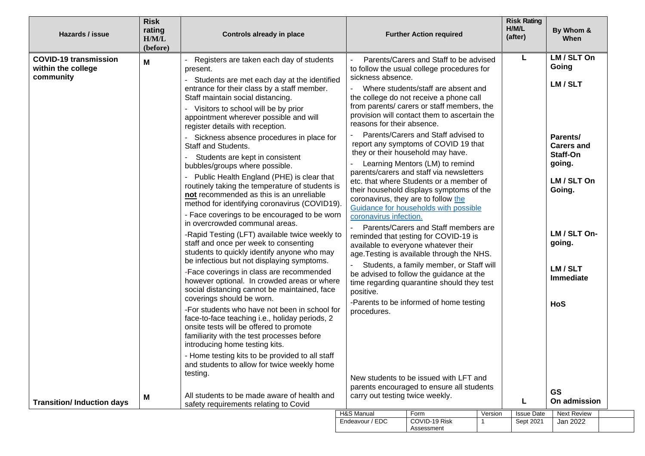| Hazards / issue                                                 | <b>Risk</b><br>rating<br>H/M/L<br>(before)                                                                                                                                                                                                                                                                                                                                                                                                                                                                                                                                                                                                                                                                                                                                                                                                                                                                                                                                                                                                         | Controls already in place                                                                                                                                                                                                                                                                                                                                                              |                                                 | <b>Further Action required</b>                                                                                                                                                                                                                                                                                                                      |                        | <b>Risk Rating</b><br>H/M/L<br>(after)          | By Whom &<br>When                                                 |
|-----------------------------------------------------------------|----------------------------------------------------------------------------------------------------------------------------------------------------------------------------------------------------------------------------------------------------------------------------------------------------------------------------------------------------------------------------------------------------------------------------------------------------------------------------------------------------------------------------------------------------------------------------------------------------------------------------------------------------------------------------------------------------------------------------------------------------------------------------------------------------------------------------------------------------------------------------------------------------------------------------------------------------------------------------------------------------------------------------------------------------|----------------------------------------------------------------------------------------------------------------------------------------------------------------------------------------------------------------------------------------------------------------------------------------------------------------------------------------------------------------------------------------|-------------------------------------------------|-----------------------------------------------------------------------------------------------------------------------------------------------------------------------------------------------------------------------------------------------------------------------------------------------------------------------------------------------------|------------------------|-------------------------------------------------|-------------------------------------------------------------------|
| <b>COVID-19 transmission</b><br>within the college<br>community | Μ                                                                                                                                                                                                                                                                                                                                                                                                                                                                                                                                                                                                                                                                                                                                                                                                                                                                                                                                                                                                                                                  | Registers are taken each day of students<br>present.<br>Students are met each day at the identified<br>entrance for their class by a staff member.<br>Staff maintain social distancing.<br>Visitors to school will be by prior<br>appointment wherever possible and will<br>register details with reception.<br>Sickness absence procedures in place for<br><b>Staff and Students.</b> | sickness absence.<br>reasons for their absence. | Parents/Carers and Staff to be advised<br>to follow the usual college procedures for<br>Where students/staff are absent and<br>the college do not receive a phone call<br>from parents/ carers or staff members, the<br>provision will contact them to ascertain the<br>Parents/Carers and Staff advised to<br>report any symptoms of COVID 19 that |                        | L                                               | LM / SLT On<br>Going<br>LM / SLT<br>Parents/<br><b>Carers and</b> |
|                                                                 | Students are kept in consistent<br>bubbles/groups where possible.<br>- Public Health England (PHE) is clear that<br>routinely taking the temperature of students is<br>not recommended as this is an unreliable<br>method for identifying coronavirus (COVID19).<br>- Face coverings to be encouraged to be worn<br>in overcrowded communal areas.<br>-Rapid Testing (LFT) available twice weekly to<br>staff and once per week to consenting<br>students to quickly identify anyone who may<br>be infectious but not displaying symptoms.<br>-Face coverings in class are recommended<br>however optional. In crowded areas or where<br>social distancing cannot be maintained, face<br>coverings should be worn.<br>-For students who have not been in school for<br>face-to-face teaching i.e., holiday periods, 2<br>onsite tests will be offered to promote<br>familiarity with the test processes before<br>introducing home testing kits.<br>- Home testing kits to be provided to all staff<br>and students to allow for twice weekly home |                                                                                                                                                                                                                                                                                                                                                                                        | coronavirus infection.                          | they or their household may have.<br>Learning Mentors (LM) to remind<br>parents/carers and staff via newsletters<br>etc. that where Students or a member of<br>their household displays symptoms of the<br>coronavirus, they are to follow the<br>Guidance for households with possible                                                             |                        |                                                 | Staff-On<br>going.<br>LM / SLT On<br>Going.                       |
|                                                                 |                                                                                                                                                                                                                                                                                                                                                                                                                                                                                                                                                                                                                                                                                                                                                                                                                                                                                                                                                                                                                                                    |                                                                                                                                                                                                                                                                                                                                                                                        | positive.                                       | Parents/Carers and Staff members are<br>reminded that testing for COVID-19 is<br>available to everyone whatever their<br>age. Testing is available through the NHS.<br>Students, a family member, or Staff will<br>be advised to follow the guidance at the<br>time regarding quarantine should they test                                           |                        |                                                 | LM / SLT On-<br>going.<br>LM / SLT<br>Immediate                   |
|                                                                 |                                                                                                                                                                                                                                                                                                                                                                                                                                                                                                                                                                                                                                                                                                                                                                                                                                                                                                                                                                                                                                                    | -Parents to be informed of home testing<br>procedures.                                                                                                                                                                                                                                                                                                                                 |                                                 |                                                                                                                                                                                                                                                                                                                                                     |                        | HoS                                             |                                                                   |
| <b>Transition/Induction days</b>                                | testing.<br>New students to be issued with LFT and<br>parents encouraged to ensure all students<br>All students to be made aware of health and<br>carry out testing twice weekly.<br>Μ<br>safety requirements relating to Covid<br>H&S Manual<br>Form                                                                                                                                                                                                                                                                                                                                                                                                                                                                                                                                                                                                                                                                                                                                                                                              |                                                                                                                                                                                                                                                                                                                                                                                        |                                                 | Version                                                                                                                                                                                                                                                                                                                                             | L<br><b>Issue Date</b> | <b>GS</b><br>On admission<br><b>Next Review</b> |                                                                   |
|                                                                 |                                                                                                                                                                                                                                                                                                                                                                                                                                                                                                                                                                                                                                                                                                                                                                                                                                                                                                                                                                                                                                                    |                                                                                                                                                                                                                                                                                                                                                                                        | Endeavour / EDC                                 | COVID-19 Risk<br>Assessment                                                                                                                                                                                                                                                                                                                         |                        | Sept 2021                                       | Jan 2022                                                          |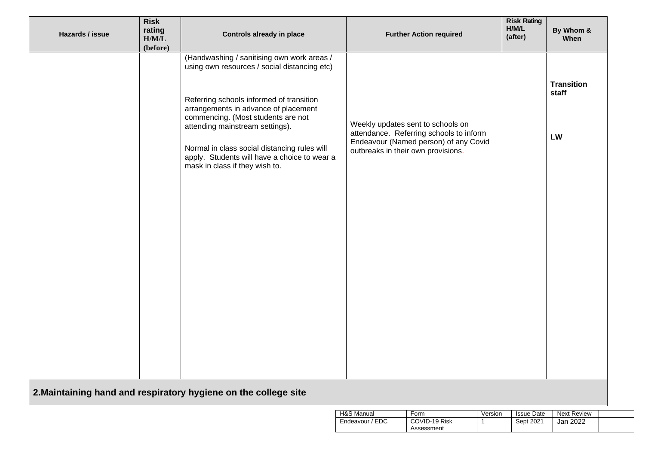| Hazards / issue | <b>Risk</b><br>rating<br>H/M/L<br>(before) | <b>Controls already in place</b>                                                                                                                                                                                                                                                                                                                                                          | <b>Further Action required</b>                                                                                                                              | <b>Risk Rating</b><br>H/M/L<br>(after) | By Whom &<br>When                |
|-----------------|--------------------------------------------|-------------------------------------------------------------------------------------------------------------------------------------------------------------------------------------------------------------------------------------------------------------------------------------------------------------------------------------------------------------------------------------------|-------------------------------------------------------------------------------------------------------------------------------------------------------------|----------------------------------------|----------------------------------|
|                 |                                            | (Handwashing / sanitising own work areas /<br>using own resources / social distancing etc)<br>Referring schools informed of transition<br>arrangements in advance of placement<br>commencing. (Most students are not<br>attending mainstream settings).<br>Normal in class social distancing rules will<br>apply. Students will have a choice to wear a<br>mask in class if they wish to. | Weekly updates sent to schools on<br>attendance. Referring schools to inform<br>Endeavour (Named person) of any Covid<br>outbreaks in their own provisions. |                                        | <b>Transition</b><br>staff<br>LW |
|                 |                                            | 2. Maintaining hand and respiratory hygiene on the college site                                                                                                                                                                                                                                                                                                                           |                                                                                                                                                             |                                        |                                  |

| H&S Manual           | Form          | Version | <b>Issue Date</b> | <b>Next Review</b> |  |
|----------------------|---------------|---------|-------------------|--------------------|--|
| ' EDC<br>Endeavour ' | COVID-19 Risk |         | Sept 2021         | Jan 2022           |  |
|                      | Assessment    |         |                   |                    |  |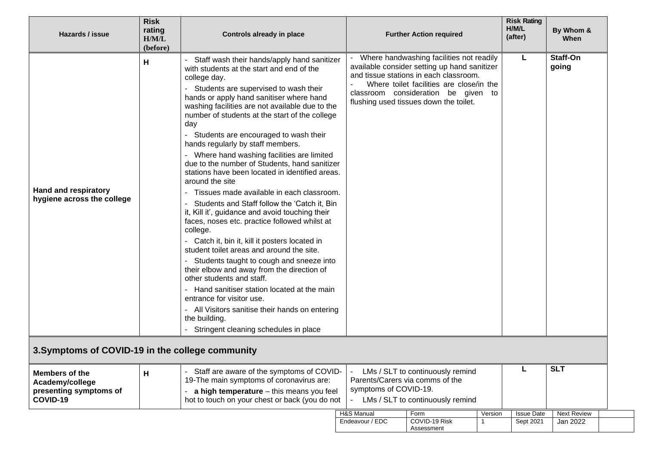| Hazards / issue                                                                | <b>Risk</b><br>rating<br>H/M/L<br>(before) | <b>Controls already in place</b>                                                                                                                                                                                                                                                                                                                                                                                                                                                                                                                                                                                                                                                                                                                                                                                                                                                                                                                                                                                                                                                                                                                                                     |                       | <b>Further Action required</b>                                                                                                                                                                                                                                    |         | <b>Risk Rating</b><br>H/M/L<br>(after) | By Whom &<br>When  |
|--------------------------------------------------------------------------------|--------------------------------------------|--------------------------------------------------------------------------------------------------------------------------------------------------------------------------------------------------------------------------------------------------------------------------------------------------------------------------------------------------------------------------------------------------------------------------------------------------------------------------------------------------------------------------------------------------------------------------------------------------------------------------------------------------------------------------------------------------------------------------------------------------------------------------------------------------------------------------------------------------------------------------------------------------------------------------------------------------------------------------------------------------------------------------------------------------------------------------------------------------------------------------------------------------------------------------------------|-----------------------|-------------------------------------------------------------------------------------------------------------------------------------------------------------------------------------------------------------------------------------------------------------------|---------|----------------------------------------|--------------------|
| <b>Hand and respiratory</b><br>hygiene across the college                      | н                                          | Staff wash their hands/apply hand sanitizer<br>with students at the start and end of the<br>college day.<br>Students are supervised to wash their<br>hands or apply hand sanitiser where hand<br>washing facilities are not available due to the<br>number of students at the start of the college<br>day<br>Students are encouraged to wash their<br>hands regularly by staff members.<br>Where hand washing facilities are limited<br>due to the number of Students, hand sanitizer<br>stations have been located in identified areas.<br>around the site<br>Tissues made available in each classroom.<br>Students and Staff follow the 'Catch it, Bin<br>it, Kill it', guidance and avoid touching their<br>faces, noses etc. practice followed whilst at<br>college.<br>- Catch it, bin it, kill it posters located in<br>student toilet areas and around the site.<br>Students taught to cough and sneeze into<br>their elbow and away from the direction of<br>other students and staff.<br>Hand sanitiser station located at the main<br>entrance for visitor use.<br>All Visitors sanitise their hands on entering<br>the building.<br>Stringent cleaning schedules in place |                       | - Where handwashing facilities not readily<br>available consider setting up hand sanitizer<br>and tissue stations in each classroom.<br>Where toilet facilities are close/in the<br>classroom consideration be given to<br>flushing used tissues down the toilet. |         | L                                      | Staff-On<br>going  |
| 3. Symptoms of COVID-19 in the college community                               |                                            |                                                                                                                                                                                                                                                                                                                                                                                                                                                                                                                                                                                                                                                                                                                                                                                                                                                                                                                                                                                                                                                                                                                                                                                      |                       |                                                                                                                                                                                                                                                                   |         |                                        |                    |
| <b>Members of the</b><br>Academy/college<br>presenting symptoms of<br>COVID-19 | н                                          | Staff are aware of the symptoms of COVID-<br>19-The main symptoms of coronavirus are:<br>a high temperature - this means you feel<br>hot to touch on your chest or back (you do not                                                                                                                                                                                                                                                                                                                                                                                                                                                                                                                                                                                                                                                                                                                                                                                                                                                                                                                                                                                                  | symptoms of COVID-19. | LMs / SLT to continuously remind<br>Parents/Carers via comms of the<br>LMs / SLT to continuously remind                                                                                                                                                           |         |                                        | <b>SLT</b>         |
|                                                                                |                                            |                                                                                                                                                                                                                                                                                                                                                                                                                                                                                                                                                                                                                                                                                                                                                                                                                                                                                                                                                                                                                                                                                                                                                                                      | H&S Manual            | Form                                                                                                                                                                                                                                                              | Version | <b>Issue Date</b>                      | <b>Next Review</b> |
|                                                                                |                                            |                                                                                                                                                                                                                                                                                                                                                                                                                                                                                                                                                                                                                                                                                                                                                                                                                                                                                                                                                                                                                                                                                                                                                                                      | Endeavour / EDC       | COVID-19 Risk<br>Assessment                                                                                                                                                                                                                                       |         | Sept 2021                              | Jan 2022           |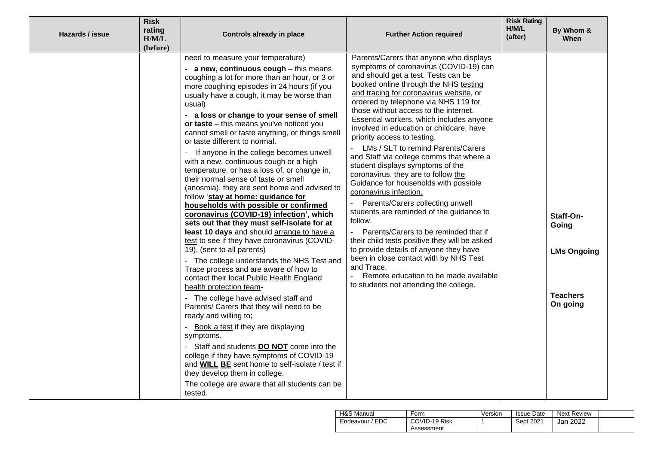| Hazards / issue | <b>Risk</b><br>rating<br>H/M/L<br>(before) | Controls already in place                                                                                                                                                                                                                                                                                                                                                                                                                                                                                                                                                                                                                                                                                                                                                                                                                                                                                                                                                                                                                                                                                                                                                                                                                                                                                                                                                                                                                                                                                                            | <b>Further Action required</b>                                                                                                                                                                                                                                                                                                                                                                                                                                                                                                                                                                                                                                                                                                                                                                                                                                                                                                                                                                                                 | <b>Risk Rating</b><br>H/M/L<br>(after) | By Whom &<br>When                                                       |
|-----------------|--------------------------------------------|--------------------------------------------------------------------------------------------------------------------------------------------------------------------------------------------------------------------------------------------------------------------------------------------------------------------------------------------------------------------------------------------------------------------------------------------------------------------------------------------------------------------------------------------------------------------------------------------------------------------------------------------------------------------------------------------------------------------------------------------------------------------------------------------------------------------------------------------------------------------------------------------------------------------------------------------------------------------------------------------------------------------------------------------------------------------------------------------------------------------------------------------------------------------------------------------------------------------------------------------------------------------------------------------------------------------------------------------------------------------------------------------------------------------------------------------------------------------------------------------------------------------------------------|--------------------------------------------------------------------------------------------------------------------------------------------------------------------------------------------------------------------------------------------------------------------------------------------------------------------------------------------------------------------------------------------------------------------------------------------------------------------------------------------------------------------------------------------------------------------------------------------------------------------------------------------------------------------------------------------------------------------------------------------------------------------------------------------------------------------------------------------------------------------------------------------------------------------------------------------------------------------------------------------------------------------------------|----------------------------------------|-------------------------------------------------------------------------|
|                 |                                            | need to measure your temperature)<br>- a new, continuous cough - this means<br>coughing a lot for more than an hour, or 3 or<br>more coughing episodes in 24 hours (if you<br>usually have a cough, it may be worse than<br>usual)<br>- a loss or change to your sense of smell<br>or taste - this means you've noticed you<br>cannot smell or taste anything, or things smell<br>or taste different to normal.<br>If anyone in the college becomes unwell<br>with a new, continuous cough or a high<br>temperature, or has a loss of, or change in,<br>their normal sense of taste or smell<br>(anosmia), they are sent home and advised to<br>follow 'stay at home: guidance for<br>households with possible or confirmed<br>coronavirus (COVID-19) infection', which<br>sets out that they must self-isolate for at<br>least 10 days and should arrange to have a<br>test to see if they have coronavirus (COVID-<br>19). (sent to all parents)<br>- The college understands the NHS Test and<br>Trace process and are aware of how to<br>contact their local Public Health England<br>health protection team-<br>- The college have advised staff and<br>Parents/ Carers that they will need to be<br>ready and willing to;<br>Book a test if they are displaying<br>symptoms.<br>- Staff and students DO NOT come into the<br>college if they have symptoms of COVID-19<br>and <b>WILL BE</b> sent home to self-isolate / test if<br>they develop them in college.<br>The college are aware that all students can be<br>tested. | Parents/Carers that anyone who displays<br>symptoms of coronavirus (COVID-19) can<br>and should get a test. Tests can be<br>booked online through the NHS testing<br>and tracing for coronavirus website, or<br>ordered by telephone via NHS 119 for<br>those without access to the internet.<br>Essential workers, which includes anyone<br>involved in education or childcare, have<br>priority access to testing.<br>LMs / SLT to remind Parents/Carers<br>and Staff via college comms that where a<br>student displays symptoms of the<br>coronavirus, they are to follow the<br>Guidance for households with possible<br>coronavirus infection.<br>Parents/Carers collecting unwell<br>students are reminded of the guidance to<br>follow.<br>Parents/Carers to be reminded that if<br>their child tests positive they will be asked<br>to provide details of anyone they have<br>been in close contact with by NHS Test<br>and Trace.<br>Remote education to be made available<br>to students not attending the college. |                                        | Staff-On-<br>Going<br><b>LMs Ongoing</b><br><b>Teachers</b><br>On going |

| H&S Manual      | Form          | Version | <b>Issue Date</b> | Next Review |  |
|-----------------|---------------|---------|-------------------|-------------|--|
| Endeavour / EDC | COVID-19 Risk |         | Sept 2021         | Jan 2022    |  |
|                 | Assessment    |         |                   |             |  |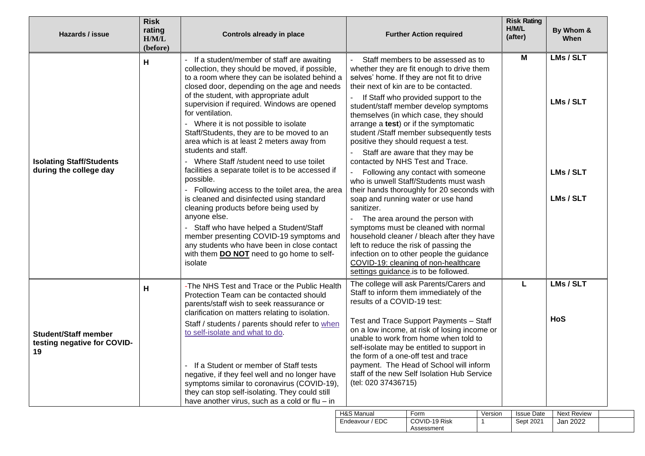| Hazards / issue                                                  | <b>Risk</b><br>rating<br>H/M/L<br>(before) | Controls already in place                                                                                                                                                                                                                                                                                                                                                                                                                                                                                                                                                                                                                                                                                                                                                                                                                                                                                                                      | <b>Further Action required</b>                                                                                                                                                                                                                                                                                                                                                                                                                                                                                                                                                                                                                                                                                                                                                                                                                                                                                                                                                            | <b>Risk Rating</b><br>H/M/L<br>(after) | By Whom &<br>When                                |
|------------------------------------------------------------------|--------------------------------------------|------------------------------------------------------------------------------------------------------------------------------------------------------------------------------------------------------------------------------------------------------------------------------------------------------------------------------------------------------------------------------------------------------------------------------------------------------------------------------------------------------------------------------------------------------------------------------------------------------------------------------------------------------------------------------------------------------------------------------------------------------------------------------------------------------------------------------------------------------------------------------------------------------------------------------------------------|-------------------------------------------------------------------------------------------------------------------------------------------------------------------------------------------------------------------------------------------------------------------------------------------------------------------------------------------------------------------------------------------------------------------------------------------------------------------------------------------------------------------------------------------------------------------------------------------------------------------------------------------------------------------------------------------------------------------------------------------------------------------------------------------------------------------------------------------------------------------------------------------------------------------------------------------------------------------------------------------|----------------------------------------|--------------------------------------------------|
| <b>Isolating Staff/Students</b><br>during the college day        | н                                          | - If a student/member of staff are awaiting<br>collection, they should be moved, if possible,<br>to a room where they can be isolated behind a<br>closed door, depending on the age and needs<br>of the student, with appropriate adult<br>supervision if required. Windows are opened<br>for ventilation.<br>- Where it is not possible to isolate<br>Staff/Students, they are to be moved to an<br>area which is at least 2 meters away from<br>students and staff.<br>- Where Staff /student need to use toilet<br>facilities a separate toilet is to be accessed if<br>possible.<br>Following access to the toilet area, the area<br>is cleaned and disinfected using standard<br>cleaning products before being used by<br>anyone else.<br>Staff who have helped a Student/Staff<br>member presenting COVID-19 symptoms and<br>any students who have been in close contact<br>with them <b>DO NOT</b> need to go home to self-<br>isolate | Staff members to be assessed as to<br>whether they are fit enough to drive them<br>selves' home. If they are not fit to drive<br>their next of kin are to be contacted.<br>If Staff who provided support to the<br>student/staff member develop symptoms<br>themselves (in which case, they should<br>arrange a test) or if the symptomatic<br>student /Staff member subsequently tests<br>positive they should request a test.<br>Staff are aware that they may be<br>contacted by NHS Test and Trace.<br>Following any contact with someone<br>who is unwell Staff/Students must wash<br>their hands thoroughly for 20 seconds with<br>soap and running water or use hand<br>sanitizer.<br>The area around the person with<br>symptoms must be cleaned with normal<br>household cleaner / bleach after they have<br>left to reduce the risk of passing the<br>infection on to other people the guidance<br>COVID-19: cleaning of non-healthcare<br>settings guidance is to be followed. | M                                      | LMs / SLT<br>LMs / SLT<br>LMs / SLT<br>LMs / SLT |
| <b>Student/Staff member</b><br>testing negative for COVID-<br>19 | н                                          | -The NHS Test and Trace or the Public Health<br>Protection Team can be contacted should<br>parents/staff wish to seek reassurance or<br>clarification on matters relating to isolation.<br>Staff / students / parents should refer to when<br>to self-isolate and what to do.<br>If a Student or member of Staff tests<br>negative, if they feel well and no longer have<br>symptoms similar to coronavirus (COVID-19),<br>they can stop self-isolating. They could still<br>have another virus, such as a cold or flu $-$ in                                                                                                                                                                                                                                                                                                                                                                                                                  | The college will ask Parents/Carers and<br>Staff to inform them immediately of the<br>results of a COVID-19 test:<br>Test and Trace Support Payments - Staff<br>on a low income, at risk of losing income or<br>unable to work from home when told to<br>self-isolate may be entitled to support in<br>the form of a one-off test and trace<br>payment. The Head of School will inform<br>staff of the new Self Isolation Hub Service<br>(tel: 020 37436715)<br>LISC Monual                                                                                                                                                                                                                                                                                                                                                                                                                                                                                                               | L                                      | LMs / SLT<br>HoS                                 |

| H&S Manual      | Form          | Version | <b>Issue Date</b> | Next Review |  |
|-----------------|---------------|---------|-------------------|-------------|--|
| Endeavour / EDC | COVID-19 Risk |         | Sept 2021         | Jan 2022    |  |
|                 | Assessment    |         |                   |             |  |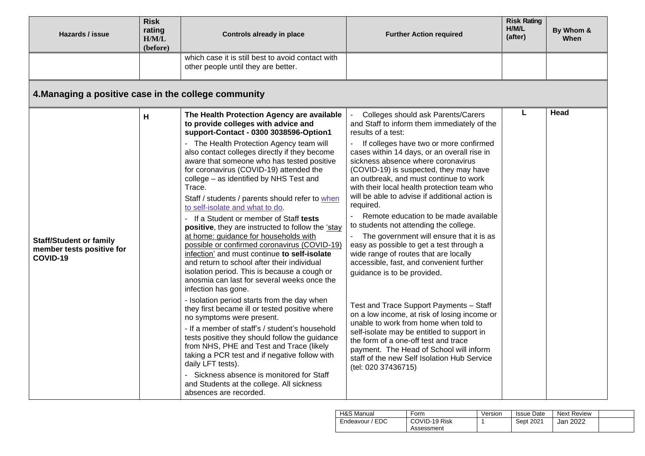| Hazards / issue                                                         | <b>Risk</b><br>rating<br>H/M/L<br>(before) | <b>Controls already in place</b>                                                                                                                                                                                                                                                                                                                                                                                                                                                                                                                                                                                                                                                                                                                                                                                                                                                                                                                                                                                                                                                                                                                                                                                                                                                                                                                 | <b>Further Action required</b>                                                                                                                                                                                                                                                                                                                                                                                                                                                                                                                                                                                                                                                                                                                                                                                                                                                                                                                                                                                                                                                     | <b>Risk Rating</b><br>H/M/L<br>(after) | By Whom &<br>When |
|-------------------------------------------------------------------------|--------------------------------------------|--------------------------------------------------------------------------------------------------------------------------------------------------------------------------------------------------------------------------------------------------------------------------------------------------------------------------------------------------------------------------------------------------------------------------------------------------------------------------------------------------------------------------------------------------------------------------------------------------------------------------------------------------------------------------------------------------------------------------------------------------------------------------------------------------------------------------------------------------------------------------------------------------------------------------------------------------------------------------------------------------------------------------------------------------------------------------------------------------------------------------------------------------------------------------------------------------------------------------------------------------------------------------------------------------------------------------------------------------|------------------------------------------------------------------------------------------------------------------------------------------------------------------------------------------------------------------------------------------------------------------------------------------------------------------------------------------------------------------------------------------------------------------------------------------------------------------------------------------------------------------------------------------------------------------------------------------------------------------------------------------------------------------------------------------------------------------------------------------------------------------------------------------------------------------------------------------------------------------------------------------------------------------------------------------------------------------------------------------------------------------------------------------------------------------------------------|----------------------------------------|-------------------|
|                                                                         |                                            | which case it is still best to avoid contact with<br>other people until they are better.                                                                                                                                                                                                                                                                                                                                                                                                                                                                                                                                                                                                                                                                                                                                                                                                                                                                                                                                                                                                                                                                                                                                                                                                                                                         |                                                                                                                                                                                                                                                                                                                                                                                                                                                                                                                                                                                                                                                                                                                                                                                                                                                                                                                                                                                                                                                                                    |                                        |                   |
| 4. Managing a positive case in the college community                    |                                            |                                                                                                                                                                                                                                                                                                                                                                                                                                                                                                                                                                                                                                                                                                                                                                                                                                                                                                                                                                                                                                                                                                                                                                                                                                                                                                                                                  |                                                                                                                                                                                                                                                                                                                                                                                                                                                                                                                                                                                                                                                                                                                                                                                                                                                                                                                                                                                                                                                                                    |                                        |                   |
| <b>Staff/Student or family</b><br>member tests positive for<br>COVID-19 | H                                          | The Health Protection Agency are available<br>to provide colleges with advice and<br>support-Contact - 0300 3038596-Option1<br>The Health Protection Agency team will<br>also contact colleges directly if they become<br>aware that someone who has tested positive<br>for coronavirus (COVID-19) attended the<br>college - as identified by NHS Test and<br>Trace.<br>Staff / students / parents should refer to when<br>to self-isolate and what to do.<br>- If a Student or member of Staff tests<br>positive, they are instructed to follow the 'stay<br>at home: guidance for households with<br>possible or confirmed coronavirus (COVID-19)<br>infection' and must continue to self-isolate<br>and return to school after their individual<br>isolation period. This is because a cough or<br>anosmia can last for several weeks once the<br>infection has gone.<br>- Isolation period starts from the day when<br>they first became ill or tested positive where<br>no symptoms were present.<br>- If a member of staff's / student's household<br>tests positive they should follow the guidance<br>from NHS, PHE and Test and Trace (likely<br>taking a PCR test and if negative follow with<br>daily LFT tests).<br>- Sickness absence is monitored for Staff<br>and Students at the college. All sickness<br>absences are recorded. | Colleges should ask Parents/Carers<br>and Staff to inform them immediately of the<br>results of a test:<br>If colleges have two or more confirmed<br>cases within 14 days, or an overall rise in<br>sickness absence where coronavirus<br>(COVID-19) is suspected, they may have<br>an outbreak, and must continue to work<br>with their local health protection team who<br>will be able to advise if additional action is<br>required.<br>Remote education to be made available<br>to students not attending the college.<br>The government will ensure that it is as<br>easy as possible to get a test through a<br>wide range of routes that are locally<br>accessible, fast, and convenient further<br>guidance is to be provided.<br>Test and Trace Support Payments - Staff<br>on a low income, at risk of losing income or<br>unable to work from home when told to<br>self-isolate may be entitled to support in<br>the form of a one-off test and trace<br>payment. The Head of School will inform<br>staff of the new Self Isolation Hub Service<br>(tel: 020 37436715) | L                                      | Head              |

| H&S Manual           | Form          | Version | <b>Issue Date</b> | Next Review |  |
|----------------------|---------------|---------|-------------------|-------------|--|
| / EDC<br>Endeavour / | COVID-19 Risk |         | Sept 2021         | Jan 2022    |  |
|                      | Assessment    |         |                   |             |  |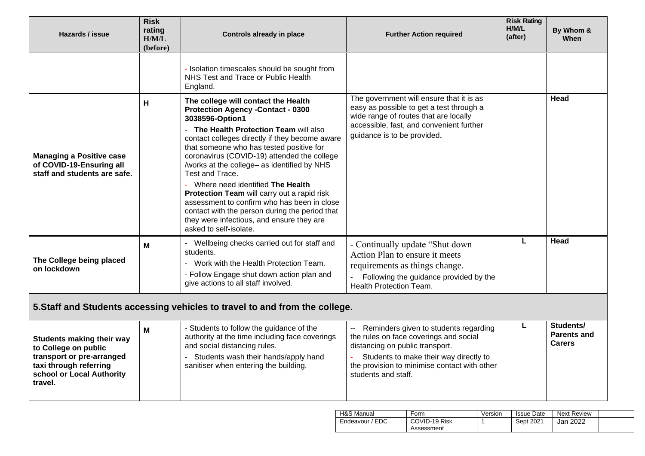| Hazards / issue                                                                                                                                         | <b>Risk</b><br>rating<br>H/M/L<br>(before) | <b>Controls already in place</b>                                                                                                                                                                                                                                                                                                                                                                                                                                                                                                                                                                                      | <b>Further Action required</b>                                                                                                                                                                                                                                  | <b>Risk Rating</b><br>H/M/L<br>(after) | By Whom &<br><b>When</b>                         |
|---------------------------------------------------------------------------------------------------------------------------------------------------------|--------------------------------------------|-----------------------------------------------------------------------------------------------------------------------------------------------------------------------------------------------------------------------------------------------------------------------------------------------------------------------------------------------------------------------------------------------------------------------------------------------------------------------------------------------------------------------------------------------------------------------------------------------------------------------|-----------------------------------------------------------------------------------------------------------------------------------------------------------------------------------------------------------------------------------------------------------------|----------------------------------------|--------------------------------------------------|
|                                                                                                                                                         |                                            | - Isolation timescales should be sought from<br>NHS Test and Trace or Public Health<br>England.                                                                                                                                                                                                                                                                                                                                                                                                                                                                                                                       |                                                                                                                                                                                                                                                                 |                                        |                                                  |
| <b>Managing a Positive case</b><br>of COVID-19-Ensuring all<br>staff and students are safe.                                                             | H                                          | The college will contact the Health<br><b>Protection Agency - Contact - 0300</b><br>3038596-Option1<br>The Health Protection Team will also<br>contact colleges directly if they become aware<br>that someone who has tested positive for<br>coronavirus (COVID-19) attended the college<br>/works at the college- as identified by NHS<br>Test and Trace.<br>Where need identified The Health<br>Protection Team will carry out a rapid risk<br>assessment to confirm who has been in close<br>contact with the person during the period that<br>they were infectious, and ensure they are<br>asked to self-isolate. | The government will ensure that it is as<br>easy as possible to get a test through a<br>wide range of routes that are locally<br>accessible, fast, and convenient further<br>guidance is to be provided.                                                        |                                        | Head                                             |
| The College being placed<br>on lockdown                                                                                                                 | Μ                                          | - Wellbeing checks carried out for staff and<br>students.<br>Work with the Health Protection Team.<br>- Follow Engage shut down action plan and<br>give actions to all staff involved.                                                                                                                                                                                                                                                                                                                                                                                                                                | - Continually update "Shut down<br>Action Plan to ensure it meets<br>requirements as things change.<br>Following the guidance provided by the<br>Health Protection Team.                                                                                        | L                                      | Head                                             |
|                                                                                                                                                         |                                            | 5. Staff and Students accessing vehicles to travel to and from the college.                                                                                                                                                                                                                                                                                                                                                                                                                                                                                                                                           |                                                                                                                                                                                                                                                                 |                                        |                                                  |
| <b>Students making their way</b><br>to College on public<br>transport or pre-arranged<br>taxi through referring<br>school or Local Authority<br>travel. | M                                          | - Students to follow the guidance of the<br>authority at the time including face coverings<br>and social distancing rules.<br>Students wash their hands/apply hand<br>sanitiser when entering the building.                                                                                                                                                                                                                                                                                                                                                                                                           | Reminders given to students regarding<br>$\overline{\phantom{a}}$<br>the rules on face coverings and social<br>distancing on public transport.<br>Students to make their way directly to<br>the provision to minimise contact with other<br>students and staff. | L                                      | Students/<br><b>Parents and</b><br><b>Carers</b> |

| H&S Manual      | Form                        | Version | <b>Issue Date</b> | <b>Next Review</b> |  |
|-----------------|-----------------------------|---------|-------------------|--------------------|--|
| Endeavour / EDC | COVID-19 Risk<br>Assessment |         | Sept 2021         | Jan 2022           |  |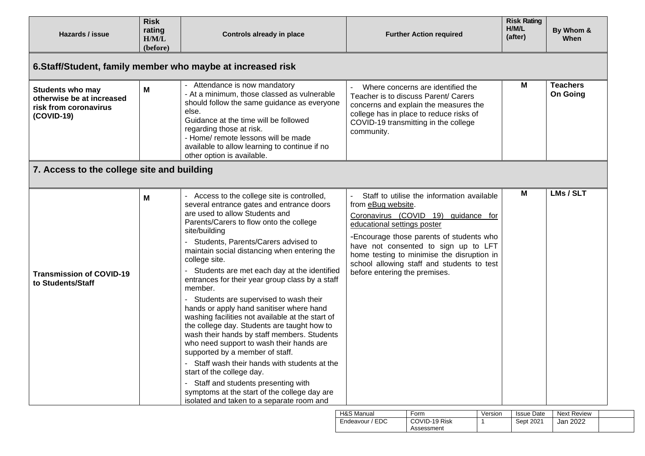| Hazards / issue                                                                             | <b>Risk</b><br>rating<br>H/M/L<br>(before) | <b>Controls already in place</b>                                                                                                                                                                                                                                                                                                                                                                                                                                                                                                                                                                                                                                                                                                                                                                                                                        | <b>Further Action required</b>                                                                                                                                                                                                                                                                                                                          | <b>Risk Rating</b><br>H/M/L<br>(after) | By Whom &<br>When                  |
|---------------------------------------------------------------------------------------------|--------------------------------------------|---------------------------------------------------------------------------------------------------------------------------------------------------------------------------------------------------------------------------------------------------------------------------------------------------------------------------------------------------------------------------------------------------------------------------------------------------------------------------------------------------------------------------------------------------------------------------------------------------------------------------------------------------------------------------------------------------------------------------------------------------------------------------------------------------------------------------------------------------------|---------------------------------------------------------------------------------------------------------------------------------------------------------------------------------------------------------------------------------------------------------------------------------------------------------------------------------------------------------|----------------------------------------|------------------------------------|
|                                                                                             |                                            | 6. Staff/Student, family member who maybe at increased risk                                                                                                                                                                                                                                                                                                                                                                                                                                                                                                                                                                                                                                                                                                                                                                                             |                                                                                                                                                                                                                                                                                                                                                         |                                        |                                    |
| <b>Students who may</b><br>otherwise be at increased<br>risk from coronavirus<br>(COVID-19) | M                                          | - Attendance is now mandatory<br>- At a minimum, those classed as vulnerable<br>should follow the same guidance as everyone<br>else.<br>Guidance at the time will be followed<br>regarding those at risk.<br>- Home/ remote lessons will be made<br>available to allow learning to continue if no<br>other option is available.                                                                                                                                                                                                                                                                                                                                                                                                                                                                                                                         | Where concerns are identified the<br>Teacher is to discuss Parent/ Carers<br>concerns and explain the measures the<br>college has in place to reduce risks of<br>COVID-19 transmitting in the college<br>community.                                                                                                                                     | M                                      | <b>Teachers</b><br><b>On Going</b> |
| 7. Access to the college site and building                                                  |                                            |                                                                                                                                                                                                                                                                                                                                                                                                                                                                                                                                                                                                                                                                                                                                                                                                                                                         |                                                                                                                                                                                                                                                                                                                                                         |                                        |                                    |
| <b>Transmission of COVID-19</b><br>to Students/Staff                                        | M                                          | Access to the college site is controlled,<br>several entrance gates and entrance doors<br>are used to allow Students and<br>Parents/Carers to flow onto the college<br>site/building<br>Students, Parents/Carers advised to<br>maintain social distancing when entering the<br>college site.<br>Students are met each day at the identified<br>entrances for their year group class by a staff<br>member.<br>- Students are supervised to wash their<br>hands or apply hand sanitiser where hand<br>washing facilities not available at the start of<br>the college day. Students are taught how to<br>wash their hands by staff members. Students<br>who need support to wash their hands are<br>supported by a member of staff.<br>- Staff wash their hands with students at the<br>start of the college day.<br>- Staff and students presenting with | Staff to utilise the information available<br>from eBug website.<br>Coronavirus (COVID 19) guidance for<br>educational settings poster<br>-Encourage those parents of students who<br>have not consented to sign up to LFT<br>home testing to minimise the disruption in<br>school allowing staff and students to test<br>before entering the premises. | М                                      | LMs / SLT                          |

| H&S Manual           | Form                        | Version | <b>Issue Date</b> | <b>Next Review</b> |  |
|----------------------|-----------------------------|---------|-------------------|--------------------|--|
| Endeavour /<br>/ EDC | COVID-19 Risk<br>Assessment |         | Sept 2021         | 2022<br>Jan        |  |
|                      |                             |         |                   |                    |  |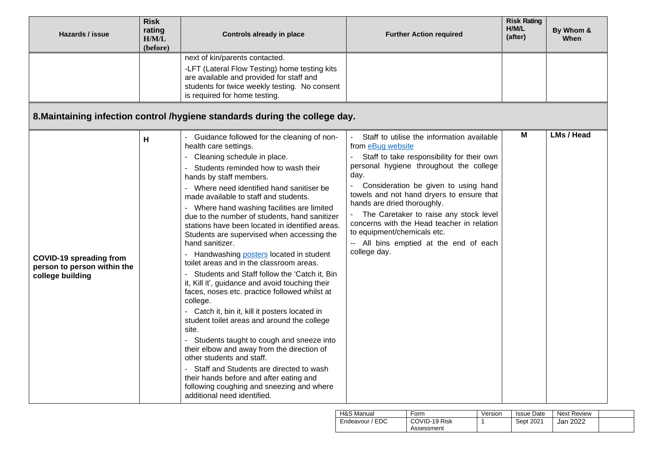| Hazards / issue                                                                   | <b>Risk</b><br>rating<br>H/M/L<br>(before) | Controls already in place                                                                                                                                                                                                                                                                                                                                                                                                                                                                                                                                                                                                                                                                                                                                                                                                                                                                                                                                                                                                                                                                                                                   | <b>Further Action required</b>                                                                                                                                                                                                                                                                                                                                                                                                                                                                    | <b>Risk Rating</b><br>H/M/L<br>(after) | By Whom &<br>When |
|-----------------------------------------------------------------------------------|--------------------------------------------|---------------------------------------------------------------------------------------------------------------------------------------------------------------------------------------------------------------------------------------------------------------------------------------------------------------------------------------------------------------------------------------------------------------------------------------------------------------------------------------------------------------------------------------------------------------------------------------------------------------------------------------------------------------------------------------------------------------------------------------------------------------------------------------------------------------------------------------------------------------------------------------------------------------------------------------------------------------------------------------------------------------------------------------------------------------------------------------------------------------------------------------------|---------------------------------------------------------------------------------------------------------------------------------------------------------------------------------------------------------------------------------------------------------------------------------------------------------------------------------------------------------------------------------------------------------------------------------------------------------------------------------------------------|----------------------------------------|-------------------|
|                                                                                   |                                            | next of kin/parents contacted.<br>-LFT (Lateral Flow Testing) home testing kits<br>are available and provided for staff and<br>students for twice weekly testing. No consent<br>is required for home testing.                                                                                                                                                                                                                                                                                                                                                                                                                                                                                                                                                                                                                                                                                                                                                                                                                                                                                                                               |                                                                                                                                                                                                                                                                                                                                                                                                                                                                                                   |                                        |                   |
|                                                                                   |                                            | 8. Maintaining infection control /hygiene standards during the college day.                                                                                                                                                                                                                                                                                                                                                                                                                                                                                                                                                                                                                                                                                                                                                                                                                                                                                                                                                                                                                                                                 |                                                                                                                                                                                                                                                                                                                                                                                                                                                                                                   |                                        |                   |
| <b>COVID-19 spreading from</b><br>person to person within the<br>college building | н                                          | - Guidance followed for the cleaning of non-<br>health care settings.<br>Cleaning schedule in place.<br>Students reminded how to wash their<br>hands by staff members.<br>Where need identified hand sanitiser be<br>made available to staff and students.<br>- Where hand washing facilities are limited<br>due to the number of students, hand sanitizer<br>stations have been located in identified areas.<br>Students are supervised when accessing the<br>hand sanitizer.<br>- Handwashing posters located in student<br>toilet areas and in the classroom areas.<br>Students and Staff follow the 'Catch it, Bin<br>it, Kill it', guidance and avoid touching their<br>faces, noses etc. practice followed whilst at<br>college.<br>- Catch it, bin it, kill it posters located in<br>student toilet areas and around the college<br>site.<br>Students taught to cough and sneeze into<br>their elbow and away from the direction of<br>other students and staff.<br>- Staff and Students are directed to wash<br>their hands before and after eating and<br>following coughing and sneezing and where<br>additional need identified. | Staff to utilise the information available<br>from eBug website<br>Staff to take responsibility for their own<br>personal hygiene throughout the college<br>day.<br>Consideration be given to using hand<br>$\overline{\phantom{0}}$<br>towels and not hand dryers to ensure that<br>hands are dried thoroughly.<br>The Caretaker to raise any stock level<br>concerns with the Head teacher in relation<br>to equipment/chemicals etc.<br>-- All bins emptied at the end of each<br>college day. | Μ                                      | LMs / Head        |

| H&S Manual      | Form          | Version | <b>Issue Date</b> | <b>Next Review</b> |  |
|-----------------|---------------|---------|-------------------|--------------------|--|
| Endeavour / EDC | COVID-19 Risk |         | Sept 2021         | Jan 2022           |  |
|                 | Assessment    |         |                   |                    |  |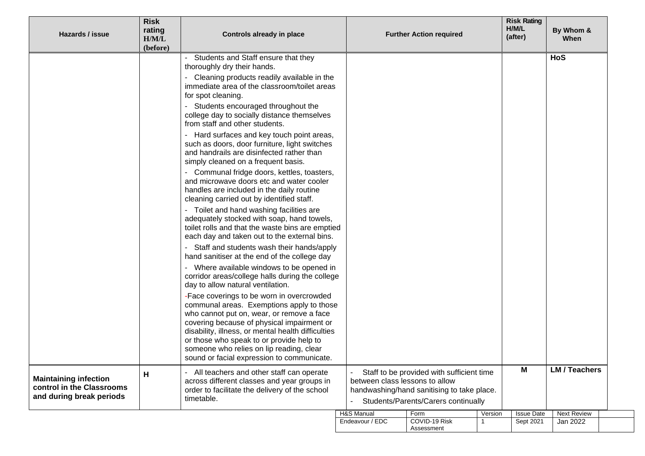| Hazards / issue                                                                       | <b>Risk</b><br>rating<br>H/M/L<br>(before) | Controls already in place                                                                                                                                                                                                                                                                                                                                                     |                                | <b>Further Action required</b>                                                                                                 |         | <b>Risk Rating</b><br>H/M/L<br>(after) | By Whom &<br>When    |
|---------------------------------------------------------------------------------------|--------------------------------------------|-------------------------------------------------------------------------------------------------------------------------------------------------------------------------------------------------------------------------------------------------------------------------------------------------------------------------------------------------------------------------------|--------------------------------|--------------------------------------------------------------------------------------------------------------------------------|---------|----------------------------------------|----------------------|
|                                                                                       |                                            | Students and Staff ensure that they<br>thoroughly dry their hands.                                                                                                                                                                                                                                                                                                            |                                |                                                                                                                                |         |                                        | HoS                  |
|                                                                                       |                                            | - Cleaning products readily available in the<br>immediate area of the classroom/toilet areas<br>for spot cleaning.                                                                                                                                                                                                                                                            |                                |                                                                                                                                |         |                                        |                      |
|                                                                                       |                                            | Students encouraged throughout the<br>college day to socially distance themselves<br>from staff and other students.                                                                                                                                                                                                                                                           |                                |                                                                                                                                |         |                                        |                      |
|                                                                                       |                                            | - Hard surfaces and key touch point areas,<br>such as doors, door furniture, light switches<br>and handrails are disinfected rather than<br>simply cleaned on a frequent basis.                                                                                                                                                                                               |                                |                                                                                                                                |         |                                        |                      |
|                                                                                       |                                            | - Communal fridge doors, kettles, toasters,<br>and microwave doors etc and water cooler<br>handles are included in the daily routine<br>cleaning carried out by identified staff.                                                                                                                                                                                             |                                |                                                                                                                                |         |                                        |                      |
|                                                                                       |                                            | Toilet and hand washing facilities are<br>adequately stocked with soap, hand towels,<br>toilet rolls and that the waste bins are emptied<br>each day and taken out to the external bins.                                                                                                                                                                                      |                                |                                                                                                                                |         |                                        |                      |
|                                                                                       |                                            | Staff and students wash their hands/apply<br>hand sanitiser at the end of the college day                                                                                                                                                                                                                                                                                     |                                |                                                                                                                                |         |                                        |                      |
|                                                                                       |                                            | - Where available windows to be opened in<br>corridor areas/college halls during the college<br>day to allow natural ventilation.                                                                                                                                                                                                                                             |                                |                                                                                                                                |         |                                        |                      |
|                                                                                       |                                            | -Face coverings to be worn in overcrowded<br>communal areas. Exemptions apply to those<br>who cannot put on, wear, or remove a face<br>covering because of physical impairment or<br>disability, illness, or mental health difficulties<br>or those who speak to or provide help to<br>someone who relies on lip reading, clear<br>sound or facial expression to communicate. |                                |                                                                                                                                |         |                                        |                      |
| <b>Maintaining infection</b><br>control in the Classrooms<br>and during break periods | н                                          | - All teachers and other staff can operate<br>across different classes and year groups in<br>order to facilitate the delivery of the school<br>timetable.                                                                                                                                                                                                                     | between class lessons to allow | Staff to be provided with sufficient time<br>handwashing/hand sanitising to take place.<br>Students/Parents/Carers continually |         | M                                      | <b>LM / Teachers</b> |
|                                                                                       |                                            |                                                                                                                                                                                                                                                                                                                                                                               | H&S Manual                     | Form                                                                                                                           | Version | <b>Issue Date</b>                      | <b>Next Review</b>   |
|                                                                                       |                                            |                                                                                                                                                                                                                                                                                                                                                                               | Endeavour / EDC                | COVID-19 Risk<br>Assessment                                                                                                    |         | Sept 2021                              | Jan 2022             |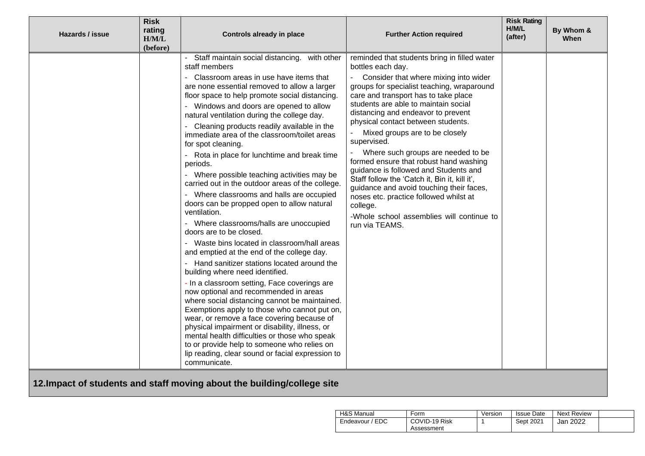| Hazards / issue | <b>Risk</b><br>rating<br>H/M/L<br>(before) | <b>Controls already in place</b>                                                                                                                                                                                                                                                                                                                                                                                                                                                                                                                                                                                                                                                                                                                                                                                                                                                                                                                                                                                                                                                                                                                                                                                                                                                                                                                                                                         | <b>Further Action required</b>                                                                                                                                                                                                                                                                                                                                                                                                                                                                                                                                                                                                                                                                                   | <b>Risk Rating</b><br>H/M/L<br>(after) | By Whom &<br>When |
|-----------------|--------------------------------------------|----------------------------------------------------------------------------------------------------------------------------------------------------------------------------------------------------------------------------------------------------------------------------------------------------------------------------------------------------------------------------------------------------------------------------------------------------------------------------------------------------------------------------------------------------------------------------------------------------------------------------------------------------------------------------------------------------------------------------------------------------------------------------------------------------------------------------------------------------------------------------------------------------------------------------------------------------------------------------------------------------------------------------------------------------------------------------------------------------------------------------------------------------------------------------------------------------------------------------------------------------------------------------------------------------------------------------------------------------------------------------------------------------------|------------------------------------------------------------------------------------------------------------------------------------------------------------------------------------------------------------------------------------------------------------------------------------------------------------------------------------------------------------------------------------------------------------------------------------------------------------------------------------------------------------------------------------------------------------------------------------------------------------------------------------------------------------------------------------------------------------------|----------------------------------------|-------------------|
|                 |                                            | Staff maintain social distancing. with other<br>staff members<br>Classroom areas in use have items that<br>are none essential removed to allow a larger<br>floor space to help promote social distancing.<br>Windows and doors are opened to allow<br>natural ventilation during the college day.<br>Cleaning products readily available in the<br>immediate area of the classroom/toilet areas<br>for spot cleaning.<br>Rota in place for lunchtime and break time<br>periods.<br>Where possible teaching activities may be<br>carried out in the outdoor areas of the college.<br>Where classrooms and halls are occupied<br>doors can be propped open to allow natural<br>ventilation.<br>Where classrooms/halls are unoccupied<br>doors are to be closed.<br>Waste bins located in classroom/hall areas<br>and emptied at the end of the college day.<br>Hand sanitizer stations located around the<br>building where need identified.<br>- In a classroom setting, Face coverings are<br>now optional and recommended in areas<br>where social distancing cannot be maintained.<br>Exemptions apply to those who cannot put on,<br>wear, or remove a face covering because of<br>physical impairment or disability, illness, or<br>mental health difficulties or those who speak<br>to or provide help to someone who relies on<br>lip reading, clear sound or facial expression to<br>communicate. | reminded that students bring in filled water<br>bottles each day.<br>Consider that where mixing into wider<br>groups for specialist teaching, wraparound<br>care and transport has to take place<br>students are able to maintain social<br>distancing and endeavor to prevent<br>physical contact between students.<br>Mixed groups are to be closely<br>supervised.<br>Where such groups are needed to be<br>formed ensure that robust hand washing<br>guidance is followed and Students and<br>Staff follow the 'Catch it, Bin it, kill it',<br>guidance and avoid touching their faces,<br>noses etc. practice followed whilst at<br>college.<br>-Whole school assemblies will continue to<br>run via TEAMS. |                                        |                   |
|                 |                                            | 12. Impact of students and staff moving about the building/college site                                                                                                                                                                                                                                                                                                                                                                                                                                                                                                                                                                                                                                                                                                                                                                                                                                                                                                                                                                                                                                                                                                                                                                                                                                                                                                                                  |                                                                                                                                                                                                                                                                                                                                                                                                                                                                                                                                                                                                                                                                                                                  |                                        |                   |

| H&S Manual         | Form          | Version | <b>Issue Date</b> | Next Review |  |
|--------------------|---------------|---------|-------------------|-------------|--|
| Endeavour<br>' EDC | COVID-19 Risk |         | Sept 2021         | Jan 2022    |  |
|                    | Assessment    |         |                   |             |  |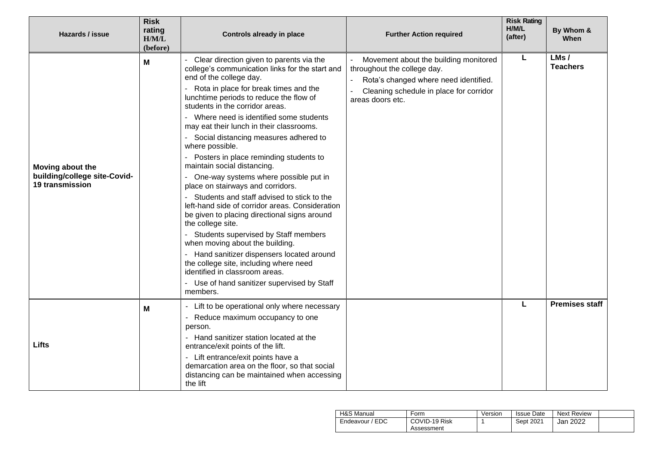| Hazards / issue                                                            | <b>Risk</b><br>rating<br>H/M/L<br>(before) | Controls already in place                                                                                                                                                                                                                                                                                                                                                                                                                                                                                                                                                                                                                                                                                                                                                                                                                                                                                                                                                                    | <b>Further Action required</b>                                                                                                                                               | <b>Risk Rating</b><br>H/M/L<br>(after) | By Whom &<br>When       |
|----------------------------------------------------------------------------|--------------------------------------------|----------------------------------------------------------------------------------------------------------------------------------------------------------------------------------------------------------------------------------------------------------------------------------------------------------------------------------------------------------------------------------------------------------------------------------------------------------------------------------------------------------------------------------------------------------------------------------------------------------------------------------------------------------------------------------------------------------------------------------------------------------------------------------------------------------------------------------------------------------------------------------------------------------------------------------------------------------------------------------------------|------------------------------------------------------------------------------------------------------------------------------------------------------------------------------|----------------------------------------|-------------------------|
| Moving about the<br>building/college site-Covid-<br><b>19 transmission</b> | M                                          | Clear direction given to parents via the<br>college's communication links for the start and<br>end of the college day.<br>Rota in place for break times and the<br>lunchtime periods to reduce the flow of<br>students in the corridor areas.<br>Where need is identified some students<br>may eat their lunch in their classrooms.<br>Social distancing measures adhered to<br>where possible.<br>Posters in place reminding students to<br>maintain social distancing.<br>One-way systems where possible put in<br>place on stairways and corridors.<br>Students and staff advised to stick to the<br>left-hand side of corridor areas. Consideration<br>be given to placing directional signs around<br>the college site.<br>Students supervised by Staff members<br>when moving about the building.<br>- Hand sanitizer dispensers located around<br>the college site, including where need<br>identified in classroom areas.<br>- Use of hand sanitizer supervised by Staff<br>members. | Movement about the building monitored<br>throughout the college day.<br>Rota's changed where need identified.<br>Cleaning schedule in place for corridor<br>areas doors etc. | L                                      | LMs/<br><b>Teachers</b> |
| Lifts                                                                      | M                                          | Lift to be operational only where necessary<br>Reduce maximum occupancy to one<br>$\overline{\phantom{0}}$<br>person.<br>Hand sanitizer station located at the<br>entrance/exit points of the lift.<br>Lift entrance/exit points have a<br>demarcation area on the floor, so that social<br>distancing can be maintained when accessing<br>the lift                                                                                                                                                                                                                                                                                                                                                                                                                                                                                                                                                                                                                                          |                                                                                                                                                                              | L                                      | <b>Premises staff</b>   |

| H&S Manual           | Form          | Version | <b>Issue Date</b> | <b>Next Review</b> |  |
|----------------------|---------------|---------|-------------------|--------------------|--|
| ' EDC<br>Endeavour / | COVID-19 Risk |         | Sept 2021         | Jan 2022           |  |
|                      | Assessment    |         |                   |                    |  |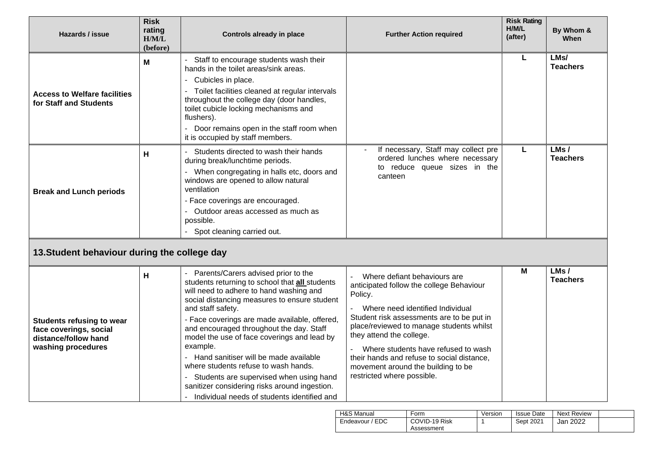| Hazards / issue                                                                                          | <b>Risk</b><br>rating<br>H/M/L<br>(before) | <b>Controls already in place</b>                                                                                                                                                                                                                                                                                                                                                                                                                                                                                                                                                                      | <b>Further Action required</b>                                                                                                                                                                                                                                                                                                                                                                        | <b>Risk Rating</b><br>H/M/L<br>(after) | By Whom &<br><b>When</b> |
|----------------------------------------------------------------------------------------------------------|--------------------------------------------|-------------------------------------------------------------------------------------------------------------------------------------------------------------------------------------------------------------------------------------------------------------------------------------------------------------------------------------------------------------------------------------------------------------------------------------------------------------------------------------------------------------------------------------------------------------------------------------------------------|-------------------------------------------------------------------------------------------------------------------------------------------------------------------------------------------------------------------------------------------------------------------------------------------------------------------------------------------------------------------------------------------------------|----------------------------------------|--------------------------|
| <b>Access to Welfare facilities</b><br>for Staff and Students                                            | M                                          | Staff to encourage students wash their<br>hands in the toilet areas/sink areas.<br>Cubicles in place.<br>Toilet facilities cleaned at regular intervals<br>throughout the college day (door handles,<br>toilet cubicle locking mechanisms and<br>flushers).<br>Door remains open in the staff room when<br>it is occupied by staff members.                                                                                                                                                                                                                                                           |                                                                                                                                                                                                                                                                                                                                                                                                       | L                                      | LMs/<br><b>Teachers</b>  |
| <b>Break and Lunch periods</b><br>13. Student behaviour during the college day                           | Н                                          | Students directed to wash their hands<br>during break/lunchtime periods.<br>When congregating in halls etc, doors and<br>windows are opened to allow natural<br>ventilation<br>- Face coverings are encouraged.<br>Outdoor areas accessed as much as<br>$\blacksquare$<br>possible.<br>- Spot cleaning carried out.                                                                                                                                                                                                                                                                                   | If necessary, Staff may collect pre<br>ordered lunches where necessary<br>to reduce queue sizes in the<br>canteen                                                                                                                                                                                                                                                                                     | L                                      | LMs/<br><b>Teachers</b>  |
| <b>Students refusing to wear</b><br>face coverings, social<br>distance/follow hand<br>washing procedures | н                                          | Parents/Carers advised prior to the<br>students returning to school that all students<br>will need to adhere to hand washing and<br>social distancing measures to ensure student<br>and staff safety.<br>- Face coverings are made available, offered,<br>and encouraged throughout the day. Staff<br>model the use of face coverings and lead by<br>example.<br>Hand sanitiser will be made available<br>$\sim$<br>where students refuse to wash hands.<br>Students are supervised when using hand<br>sanitizer considering risks around ingestion.<br>- Individual needs of students identified and | Where defiant behaviours are<br>anticipated follow the college Behaviour<br>Policy.<br>Where need identified Individual<br>Student risk assessments are to be put in<br>place/reviewed to manage students whilst<br>they attend the college.<br>Where students have refused to wash<br>their hands and refuse to social distance,<br>movement around the building to be<br>restricted where possible. | M                                      | LMs/<br><b>Teachers</b>  |

| H&S Manual      | Form                        | Version | <b>Issue Date</b> | <b>Next Review</b> |  |
|-----------------|-----------------------------|---------|-------------------|--------------------|--|
| Endeavour / EDC | COVID-19 Risk<br>Assessment |         | Sept 2021         | Jan 2022           |  |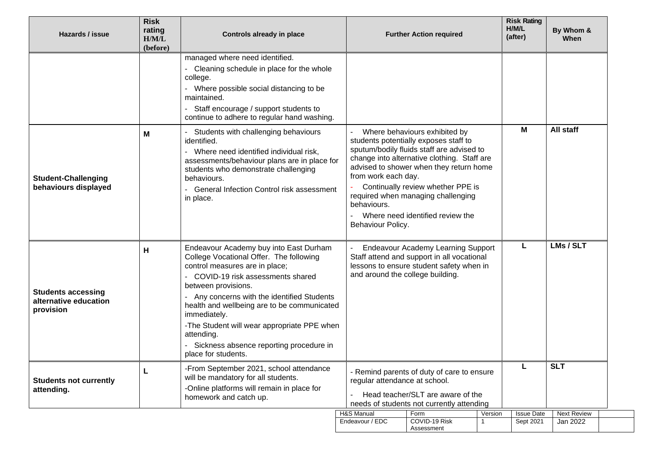| Hazards / issue                                                 | <b>Risk</b><br>rating<br>H/M/L<br>(before) | Controls already in place                                                                                                                                                                                                                                                                                                                                                                                                     |                               | <b>Further Action required</b>                                                                                                                                                                                                                                                                                                                                           |         |                                | By Whom &<br>When              |
|-----------------------------------------------------------------|--------------------------------------------|-------------------------------------------------------------------------------------------------------------------------------------------------------------------------------------------------------------------------------------------------------------------------------------------------------------------------------------------------------------------------------------------------------------------------------|-------------------------------|--------------------------------------------------------------------------------------------------------------------------------------------------------------------------------------------------------------------------------------------------------------------------------------------------------------------------------------------------------------------------|---------|--------------------------------|--------------------------------|
|                                                                 |                                            | managed where need identified.<br>- Cleaning schedule in place for the whole<br>college.<br>- Where possible social distancing to be<br>maintained.<br>Staff encourage / support students to<br>continue to adhere to regular hand washing.                                                                                                                                                                                   |                               |                                                                                                                                                                                                                                                                                                                                                                          |         |                                |                                |
| <b>Student-Challenging</b><br>behaviours displayed              | M                                          | Students with challenging behaviours<br>identified.<br>- Where need identified individual risk,<br>assessments/behaviour plans are in place for<br>students who demonstrate challenging<br>behaviours.<br>- General Infection Control risk assessment<br>in place.                                                                                                                                                            | behaviours.                   | Where behaviours exhibited by<br>students potentially exposes staff to<br>sputum/bodily fluids staff are advised to<br>change into alternative clothing. Staff are<br>advised to shower when they return home<br>from work each day.<br>Continually review whether PPE is<br>required when managing challenging<br>Where need identified review the<br>Behaviour Policy. |         |                                | <b>All staff</b>               |
| <b>Students accessing</b><br>alternative education<br>provision | н                                          | Endeavour Academy buy into East Durham<br>College Vocational Offer. The following<br>control measures are in place;<br>- COVID-19 risk assessments shared<br>between provisions.<br>- Any concerns with the identified Students<br>health and wellbeing are to be communicated<br>immediately.<br>-The Student will wear appropriate PPE when<br>attending.<br>Sickness absence reporting procedure in<br>place for students. |                               | <b>Endeavour Academy Learning Support</b><br>Staff attend and support in all vocational<br>lessons to ensure student safety when in<br>and around the college building.                                                                                                                                                                                                  |         | L                              | LMs / SLT                      |
| <b>Students not currently</b><br>attending.                     |                                            | -From September 2021, school attendance<br>will be mandatory for all students.<br>-Online platforms will remain in place for<br>homework and catch up.                                                                                                                                                                                                                                                                        |                               | - Remind parents of duty of care to ensure<br>regular attendance at school.<br>Head teacher/SLT are aware of the<br>needs of students not currently attending                                                                                                                                                                                                            |         |                                | <b>SLT</b>                     |
|                                                                 |                                            |                                                                                                                                                                                                                                                                                                                                                                                                                               | H&S Manual<br>Endeavour / EDC | Form<br>COVID-19 Risk<br>Assessment                                                                                                                                                                                                                                                                                                                                      | Version | <b>Issue Date</b><br>Sept 2021 | <b>Next Review</b><br>Jan 2022 |